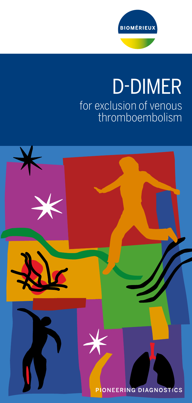

# D-DIMER for exclusion of venous thromboembolism

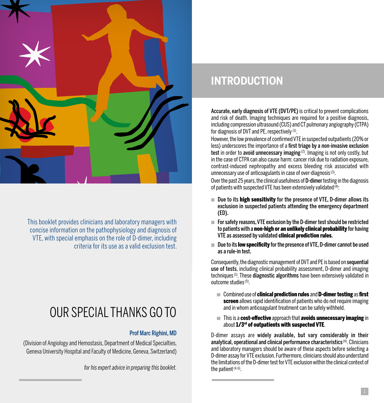

This booklet provides clinicians and laboratory managers with concise information on the pathophysiology and diagnosis of VTE, with special emphasis on the role of D-dimer, including criteria for its use as a valid exclusion test.

# OUR SPECIAL THANKS GO TO

### Prof Marc Righini, MD

(Division of Angiology and Hemostasis, Department of Medical Specialties, Geneva University Hospital and Faculty of Medicine, Geneva, Switzerland)

*for his expert advice in preparing this booklet.* 

### **INTRODUCTION**

Accurate, early diagnosis of VTE (DVT/PE) is critical to prevent complications and risk of death. Imaging techniques are required for a positive diagnosis, including compression ultrasound (CUS) and CT pulmonary angiography (CTPA) for diagnosis of DVT and PE, respectively (1).

However, the low prevalence of confirmed VTE in suspected outpatients (20% or less) underscores the importance of a first triage by a non-invasive exclusion test in order to avoid unnecessary imaging (2). Imaging is not only costly, but in the case of CTPA can also cause harm: cancer risk due to radiation exposure, contrast-induced nephropathy and excess bleeding risk associated with unnecessary use of anticoagulants in case of over-diagnosis $(3)$ .

Over the past 25 years, the clinical usefulness of **D-dimer** testing in the diagnosis of patients with suspected VTE has been extensively validated  $\bar{q}$ ):

- Due to its **high sensitivity** for the presence of VTE, D-dimer allows its exclusion in suspected patients attending the emergency department (ED).
- For safety reasons, VTE exclusion by the D-dimer test should be restricted to patients with a non-high or an unlikely clinical probability for having VTE as assessed by validated clinical prediction rules.
- Due to its **low specificity** for the presence of VTE, D-dimer cannot be used as a rule-in test.

Consequently, the diagnostic management of DVT and PE is based on sequential use of tests, including clinical probability assessment, D-dimer and imaging techniques<sup>(1)</sup>. These diagnostic algorithms have been extensively validated in outcome studies (5).

- Combined use of **clinical prediction rules** and **D-dimer testing** as **first** screen allows rapid identification of patients who do not require imaging and in whom anticoagulant treatment can be safely withheld.
- m. This is a cost-effective approach that avoids unnecessary imaging in about 1/3<sup>rd</sup> of outpatients with suspected VTE.

D-dimer assays are widely available, but vary considerably in their analytical, operational and clinical performance characteristics (4). Clinicians and laboratory managers should be aware of these aspects before selecting a D-dimer assay for VTE exclusion. Furthermore, clinicians should also understand the limitations of the D-dimer test for VTE exclusion within the clinical context of the patient  $(4, 6)$ .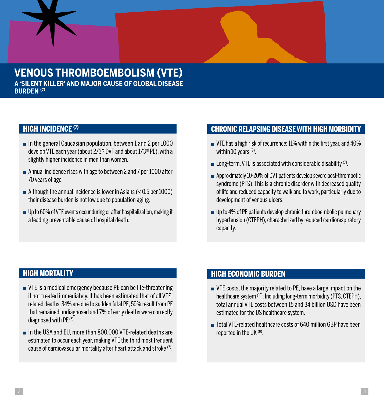### **VENOUS THROMBOEMBOLISM (VTE) A 'SILENT KILLER' AND MAJOR CAUSE OF GLOBAL DISEASE BURDEN (7)**

### **HIGH INCIDENCE (7)**

- $\blacksquare$  In the general Caucasian population, between 1 and 2 per 1000 develop VTE each year (about 2/3rd DVT and about 1/3rd PE), with a slightly higher incidence in men than women.
- Annual incidence rises with age to between 2 and 7 per 1000 after 70 years of age.
- $\blacksquare$  Although the annual incidence is lower in Asians (< 0.5 per 1000) their disease burden is not low due to population aging.
- Up to 60% of VTE events occur during or after hospitalization, making it a leading preventable cause of hospital death.

### CHRONIC RELAPSING DISEASE WITH HIGH MORBIDITY

- VTE has a high risk of recurrence: 11% within the first year, and 40% within 10 years  $(9)$ .
- **EXECUTE:** Long-term, VTE is associated with considerable disability  $(7)$ .
- Approximately 10-20% of DVT patients develop severe post-thrombotic syndrome (PTS). This is a chronic disorder with decreased quality of life and reduced capacity to walk and to work, particularly due to development of venous ulcers.
- Up to 4% of PE patients develop chronic thromboembolic pulmonary hypertension (CTEPH), characterized by reduced cardiorespiratory capacity.

### HIGH MORTALITY

- VTE is a medical emergency because PE can be life-threatening if not treated immediately. It has been estimated that of all VTErelated deaths, 34% are due to sudden fatal PE, 59% result from PE that remained undiagnosed and 7% of early deaths were correctly diagnosed with PE<sup>(8)</sup>.
- In the USA and EU, more than 800,000 VTE-related deaths are estimated to occur each year, making VTE the third most frequent cause of cardiovascular mortality after heart attack and stroke (7).

### HIGH ECONOMIC BURDEN

- VTE costs, the majority related to PE, have a large impact on the healthcare system (10). Including long-term morbidity (PTS, CTEPH), total annual VTE costs between 15 and 34 billion USD have been estimated for the US healthcare system.
- Total VTE-related healthcare costs of 640 million GBP have been reported in the UK (8).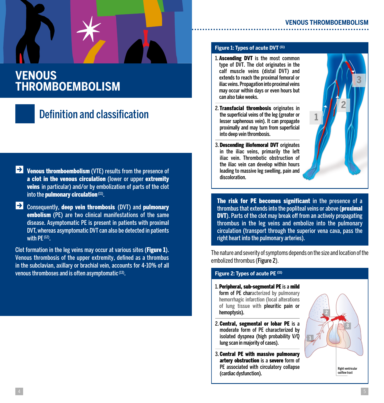### **VENOUS THROMBOEMBOLISM**

### Definition and classification

- $\rightarrow$  Venous thromboembolism (VTE) results from the presence of a clot in the venous circulation (lower or upper extremity veins in particular) and/or by embolization of parts of the clot into the **pulmonary circulation** (11).
- $\rightarrow$  Consequently, deep vein thrombosis (DVT) and pulmonary embolism (PE) are two clinical manifestations of the same disease. Asymptomatic PE is present in patients with proximal DVT, whereas asymptomatic DVT can also be detected in patients with PE (12).

Clot formation in the leg veins may occur at various sites (Figure 1). Venous thrombosis of the upper extremity, defined as a thrombus in the subclavian, axillary or brachial vein, accounts for 4-10% of all venous thromboses and is often asymptomatic (13).

### **Figure 1: Types of acute DVT (11)**

1. Ascending DVT is the most common type of DVT. The clot originates in the calf muscle veins (distal DVT) and extends to reach the proximal femoral or iliac veins. Propagation into proximal veins may occur within days or even hours but can also take weeks.

2. Transfacial thrombosis originates in the superficial veins of the leg (greater or lesser saphenous vein). It can propagate proximally and may turn from superficial

3. Descending iliofemoral DVT originates in the iliac veins, primarily the left iliac vein. Thrombotic obstruction of the iliac vein can develop within hours

into deep vein thrombosis.



The risk for PE becomes significant in the presence of a thrombus that extends into the popliteal veins or above (proximal DVT). Parts of the clot may break off from an actively propagating thrombus in the leg veins and embolize into the pulmonary circulation (transport through the superior vena cava, pass the leading to massive leg swelling, pain and discoloration.

The nature and severity of symptoms depends on the size and location of the embolized thrombus (Figure 2).

### **Figure 2: Types of acute PE (11)**

1. Peripheral, sub-segmental PE is a mild form of PE characterized by pulmonary hemorrhagic infarction (local alterations of lung tissue with pleuritic pain or hemoptysis).

right heart into the pulmonary arteries).

- 2. Central, segmental or lobar PE is a moderate form of PE characterized by isolated dyspnea (high probability V/Q lung scan in majority of cases).
- 3. Central PE with massive pulmonary artery obstruction is a severe form of PE associated with circulatory collapse (cardiac dysfunction).

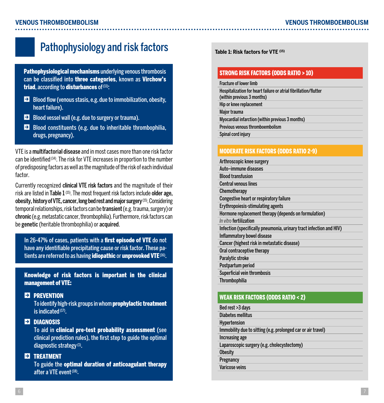### Pathophysiology and risk factors

Pathophysiological mechanisms underlying venous thrombosis can be classified into three categories, known as Virchow's triad, according to disturbances of  $(11)$ :

- $\blacktriangleright$  Blood flow (venous stasis, e.g. due to immobilization, obesity, heart failure).
- $\rightarrow$  Blood vessel wall (e.g. due to surgery or trauma).
- $\blacktriangleright$  Blood constituents (e.g. due to inheritable thrombophilia, drugs, pregnancy).

VTE is a multifactorial disease and in most cases more than one risk factor can be identified (14). The risk for VTE increases in proportion to the number of predisposing factors as well as the magnitude of the risk of each individual factor.

Currently recognized clinical VTE risk factors and the magnitude of their risk are listed in Table  $1<sup>(15)</sup>$ . The most frequent risk factors include older age, obesity, history of VTE, cancer, long bed rest and major surgery(15). Considering temporal relationships, risk factors can be transient (e.g. trauma, surgery) or chronic (e.g. metastatic cancer, thrombophilia). Furthermore, risk factors can be genetic (heritable thrombophilia) or acquired.

In 26-47% of cases, patients with a first episode of VTE do not have any identifiable precipitating cause or risk factor. These patients are referred to as having idiopathic or unprovoked VTE (16).

Knowledge of risk factors is important in the clinical management of VTE:

### **EX PREVENTION**

To identify high-risk groups in whom prophylactic treatment is indicated (17).

### **EX DIAGNOSIS**

To aid in clinical pre-test probability assessment (see clinical prediction rules), the first step to guide the optimal diagnostic strategy (1).

### **EX TREATMENT**

To guide the optimal duration of anticoagulant therapy after a VTE event (18).

**Table 1: Risk factors for VTE (15)**

### STRONG RISK FACTORS (ODDS RATIO > 10)

#### Fracture of lower limb

Hospitalization for heart failure or atrial fibrillation/flutter (within previous 3 months) Hip or knee replacement Major trauma Myocardial infarction (within previous 3 months) Previous venous thromboembolism Spinal cord injury

### MODERATE RISK FACTORS (ODDS RATIO 2-9)

| Arthroscopic knee surgery                                           |
|---------------------------------------------------------------------|
| Auto-immune diseases                                                |
| <b>Blood transfusion</b>                                            |
| <b>Central venous lines</b>                                         |
| Chemotherapy                                                        |
| Congestive heart or respiratory failure                             |
| Erythropoiesis-stimulating agents                                   |
| Hormone replacement therapy (depends on formulation)                |
| In vitro fertilization                                              |
| Infection (specifically pneumonia, urinary tract infection and HIV) |
| <b>Inflammatory bowel disease</b>                                   |
| Cancer (highest risk in metastatic disease)                         |
| Oral contraceptive therapy                                          |
| Paralytic stroke                                                    |
| Postpartum period                                                   |
| Superficial vein thrombosis                                         |
| <b>Thrombophilia</b>                                                |

### WEAK RISK FACTORS (ODDS RATIO < 2)

| Bed rest >3 days                                             |
|--------------------------------------------------------------|
| Diabetes mellitus                                            |
| <b>Hypertension</b>                                          |
| Immobility due to sitting (e.g. prolonged car or air travel) |
| Increasing age                                               |
| Laparoscopic surgery (e.g. cholecystectomy)                  |
| <b>Obesity</b>                                               |
| Pregnancy                                                    |
| Varicose veins                                               |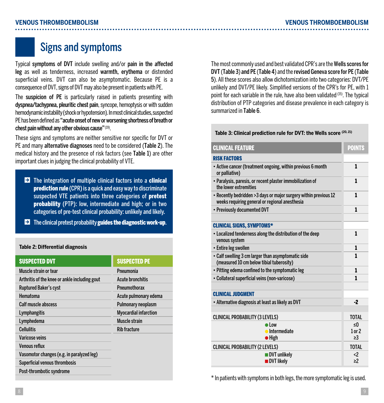### **VENOUS THROMBOEMBOLISM VENOUS THROMBOEMBOLISM**

### Signs and symptoms

Typical symptoms of DVT include swelling and/or pain in the affected leg as well as tenderness, increased warmth, erythema or distended superficial veins. DVT can also be asymptomatic. Because PE is a consequence of DVT, signs of DVT may also be present in patients with PE.

The suspicion of PE is particularly raised in patients presenting with dyspnea/tachypnea, pleuritic chest pain, syncope, hemoptysis or with sudden hemodynamic instability (shock or hypotension). In most clinical studies, suspected PE has been defined as "acute onset of new or worsening shortness of breath or chest pain without any other obvious cause" (19).

These signs and symptoms are neither sensitive nor specific for DVT or PE and many alternative diagnoses need to be considered (Table 2). The medical history and the presence of risk factors (see Table 1) are other important clues in judging the clinical probability of VTE.

- $\blacktriangleright$  The integration of multiple clinical factors into a **clinical prediction rule** (CPR) is a quick and easy way to discriminate suspected VTE patients into three categories of pretest probability (PTP): low, intermediate and high; or in two categories of pre-test clinical probability: unlikely and likely.
- $\blacktriangleright$  The clinical pretest probability guides the diagnostic work-up.

#### **Table 2: Differential diagnosis**

| <b>SUSPECTED PE</b>     |
|-------------------------|
| Pneumonia               |
| <b>Acute bronchitis</b> |
| Pneumothorax            |
| Acute pulmonary edema   |
| Pulmonary neoplasm      |
| Myocardial infarction   |
| Muscle strain           |
| <b>Rib fracture</b>     |
|                         |
|                         |
|                         |
|                         |
|                         |
|                         |

The most commonly used and best validated CPR's are the Wells scores for DVT (Table 3) and PE (Table 4) and the revised Geneva score for PE (Table 5). All these scores also allow dichotomization into two categories: DVT/PE unlikely and DVT/PE likely. Simplified versions of the CPR's for PE, with 1 point for each variable in the rule, have also been validated (15). The typical distribution of PTP categories and disease prevalence in each category is summarized in Table 6.

#### **Table 3: Clinical prediction rule for DVT: the Wells score (20, 21)**

| <b>CLINICAL FEATURE</b>                                                                                             | <b>POINTS</b>          |
|---------------------------------------------------------------------------------------------------------------------|------------------------|
| <b>RISK FACTORS</b>                                                                                                 |                        |
| • Active cancer (treatment ongoing, within previous 6 month<br>or palliative)                                       | 1                      |
| • Paralysis, paresis, or recent plaster immobilization of<br>the lower extremities                                  | 1                      |
| • Recently bedridden > 3 days or major surgery within previous 12<br>weeks requiring general or regional anesthesia | 1                      |
| • Previously documented DVT                                                                                         | 1                      |
|                                                                                                                     |                        |
| <b>CLINICAL SIGNS, SYMPTOMS*</b>                                                                                    |                        |
| • Localized tenderness along the distribution of the deep<br>venous system                                          | 1                      |
| • Entire leg swollen                                                                                                | 1                      |
| • Calf swelling 3 cm larger than asymptomatic side<br>(measured 10 cm below tibial tuberosity)                      | 1                      |
| • Pitting edema confined to the symptomatic leg                                                                     | 1                      |
| • Collateral superficial veins (non-varicose)                                                                       | 1                      |
|                                                                                                                     |                        |
| <b>CLINICAL JUDGMENT</b>                                                                                            |                        |
| • Alternative diagnosis at least as likely as DVT                                                                   | $-2$                   |
|                                                                                                                     |                        |
| <b>CLINICAL PROBABILITY (3 LEVELS)</b>                                                                              | <b>TOTAL</b>           |
| $\bullet$ Low                                                                                                       | ≤0                     |
| · Intermediate                                                                                                      | $1$ or $2$<br>$\geq$ 3 |
| $\bullet$ High                                                                                                      |                        |
| <b>CLINICAL PROBABILITY (2 LEVELS)</b>                                                                              | <b>TOTAL</b>           |
| <b>DVT</b> unlikely<br><b>DVT</b> likely                                                                            | $\langle$ 2<br>>2      |

\* In patients with symptoms in both legs, the more symptomatic leg is used.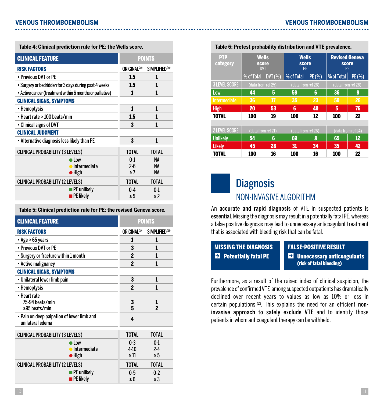**Table 4: Clinical prediction rule for PE: the Wells score. Table 6: Pretest probability distribution and VTE prevalence.**

| <b>CLINICAL FEATURE</b>                                   |                            | <b>POINTS</b>              |
|-----------------------------------------------------------|----------------------------|----------------------------|
| <b>RISK FACTORS</b>                                       | ORIGINAL <sup>(22)</sup>   | SIMPLIFIED <sup>(23)</sup> |
| • Previous DVT or PE                                      | 1.5                        | 1                          |
| • Surgery or bedridden for 3 days during past 4 weeks     | 1.5                        | 1                          |
| • Active cancer (treatment within 6 months or palliative) | 1                          | 1                          |
| <b>CLINICAL SIGNS, SYMPTOMS</b>                           |                            |                            |
| • Hemoptysis                                              | 1                          | 1                          |
| • Heart rate > 100 beats/min                              | 1.5                        | 1                          |
| • Clinical signs of DVT                                   | 3                          | 1                          |
| <b>CLINICAL JUDGMENT</b>                                  |                            |                            |
| • Alternative diagnosis less likely than PE               | 3                          | 1                          |
| <b>CLINICAL PROBABILITY (3 LEVELS)</b>                    | <b>TOTAL</b>               | <b>TOTAL</b>               |
| Low<br>• Intermediate<br>$\bullet$ High                   | $0-1$<br>$2-6$<br>$\geq 7$ | ΝA<br>NA<br>NA             |
| <b>CLINICAL PROBABILITY (2 LEVELS)</b>                    | <b>TOTAL</b>               | <b>TOTAL</b>               |
| <b>PE</b> unlikely<br>$\blacksquare$ PE likely            | 0.4<br>≥5                  | 0 <sub>1</sub><br>$\geq$ 2 |

#### **Table 5: Clinical prediction rule for PE: the revised Geneva score.**

| <b>CLINICAL FEATURE</b>                                        |                                                          | <b>POINTS</b>                  |                                  |
|----------------------------------------------------------------|----------------------------------------------------------|--------------------------------|----------------------------------|
| <b>RISK FACTORS</b>                                            |                                                          | <b>ORIGINAL<sup>(19)</sup></b> | SIMPLIFIED <sup>(24)</sup>       |
| • Age > 65 years                                               |                                                          | 1                              | 1                                |
| • Previous DVT or PE                                           |                                                          | 3                              | 1                                |
| • Surgery or fracture within 1 month                           |                                                          | $\boldsymbol{p}$               | 1                                |
| • Active malignancy                                            |                                                          | $\boldsymbol{p}$               | 1                                |
| <b>CLINICAL SIGNS, SYMPTOMS</b>                                |                                                          |                                |                                  |
| • Unilateral lower limb pain                                   |                                                          | 3                              | 1                                |
| • Hemoptysis                                                   |                                                          | $\boldsymbol{p}$               | 1                                |
| • Heart rate<br>75-94 beats/min<br>≥95 beats/min               |                                                          | 3<br>5                         | 1<br>$\overline{\mathbf{c}}$     |
| • Pain on deep palpation of lower limb and<br>unilateral edema |                                                          | 4                              |                                  |
| <b>CLINICAL PROBABILITY (3 LEVELS)</b>                         |                                                          | <b>TOTAL</b>                   | <b>TOTAL</b>                     |
|                                                                | $\bullet$ Low<br><b>•</b> Intermediate<br>$\bullet$ High | $0-3$<br>4 10<br>$\geq$ 11     | 0 <sub>1</sub><br>24<br>$\geq 5$ |
| <b>CLINICAL PROBABILITY (2 LEVELS)</b>                         |                                                          | <b>TOTAL</b>                   | <b>TOTAL</b>                     |
|                                                                | $\blacksquare$ PE unlikely<br><b>PE</b> likely           | 0.5<br>≥ 6                     | 0.2<br>$\geq$ 3                  |

| <b>PTP</b><br>category | score<br><b>DVT</b> | <b>Wells</b> | <b>Wells</b><br>score<br>PE |        | <b>Revised Geneva</b><br>score<br>PE |                    |
|------------------------|---------------------|--------------|-----------------------------|--------|--------------------------------------|--------------------|
|                        | % of Total          | DVT (%)      | % of Total                  | PE (%) | % of Total                           | PE (%)             |
| <b>3 LEVEL SCORE</b>   | (data from ref 25)  |              | (data from ref 26)          |        | (data from ref 26)                   |                    |
| Low                    | 44                  | 5            | 59                          | 6      | 36                                   | 9                  |
| Intermediate           | 36                  | 17           | 35                          | 23     | 59                                   | 26                 |
| <b>High</b>            | 20                  | 53           | 6                           | 49     | 5                                    | 76                 |
| <b>TOTAL</b>           | 100                 | 19           | 100                         | 12     | 100                                  | 22                 |
|                        |                     |              |                             |        |                                      |                    |
| <b>2 LEVEL SCORE</b>   | (data from ref 21)  |              | (data from ref 26)          |        |                                      | (data from ref 24) |
| <b>Unlikely</b>        | 54                  | 6            | 69                          | 8      | 65                                   | $12 \overline{ }$  |
| <b>Likelv</b>          | 45                  | 28           | 31                          | 34     | 35                                   | 42                 |

TOTAL 100 16 100 16 100 22

### **Diagnosis** NON-INVASIVE ALGORITHM

An accurate and rapid diagnosis of VTE in suspected patients is essential. Missing the diagnosis may result in a potentially fatal PE, whereas a false positive diagnosis may lead to unnecessary anticoagulant treatment that is associated with bleeding risk that can be fatal.

| <b>MISSING THE DIAGNOSIS</b>      | <b>FALSE-POSITIVE RESULT</b>                                     |
|-----------------------------------|------------------------------------------------------------------|
| $\mathbf{E}$ Potentially fatal PE | <b>El Unnecessary anticoagulants</b><br>(risk of fatal bleeding) |

Furthermore, as a result of the raised index of clinical suspicion, the prevalence of confirmed VTE among suspected outpatients has dramatically declined over recent years to values as low as 10% or less in certain populations  $(2)$ . This explains the need for an efficient noninvasive approach to safely exclude VTE and to identify those patients in whom anticoagulant therapy can be withheld.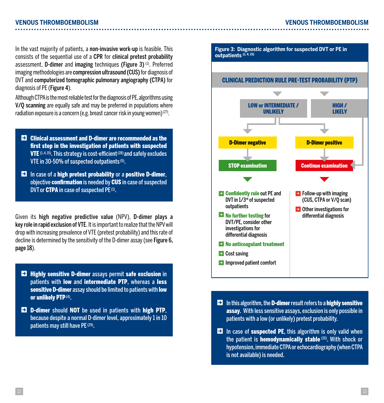In the vast majority of patients, a non-invasive work-up is feasible. This consists of the sequential use of a CPR for clinical pretest probability assessment. D-dimer and imaging techniques (Figure 3) (1). Preferred imaging methodologies are compression ultrasound (CUS) for diagnosis of DVT and computerized tomographic pulmonary angiography (CTPA) for diagnosis of PE (Figure 4).

Although CTPA is the most reliable test for the diagnosis of PE, algorithms using V/Q scanning are equally safe and may be preferred in populations where radiation exposure is a concern (e.g. breast cancer risk in young women)  $(27)$ .

- **EX** Clinical assessment and D-dimer are recommended as the first step in the investigation of patients with suspected **VTE**  $(1, 4, 15)$ . This strategy is cost-efficient  $(28)$  and safely excludes VTE in 30-50% of suspected outpatients (5).
- $\blacktriangleright$  In case of a high pretest probability or a positive D-dimer, objective confirmation is needed by CUS in case of suspected DVT or **CTPA** in case of suspected PE<sup>(1)</sup>.

Given its high negative predictive value (NPV), D-dimer plays a key role in rapid exclusion of VTE. It is important to realize that the NPV will drop with increasing prevalence of VTE (pretest probability) and this rate of decline is determined by the sensitivity of the D-dimer assay (see Figure 6, page 18).

- **EX** Highly sensitive D-dimer assays permit safe exclusion in patients with low and intermediate PTP, whereas a less sensitive **D-dimer** assay should be limited to patients with **low** or unlikely PTP (4).
- **EX** D-dimer should NOT be used in patients with high PTP, because despite a normal D-dimer level, approximately 1 in 10 patients may still have PE (29).



- $\blacktriangleright$  In this algorithm, the D-dimer result refers to a highly sensitive assay. With less sensitive assays, exclusion is only possible in patients with a low (or unlikely) pretest probability.
- $\blacktriangleright$  In case of suspected PE, this algorithm is only valid when the patient is hemodynamically stable (15). With shock or hypotension, immediate CTPA or echocardiography (when CTPA is not available) is needed.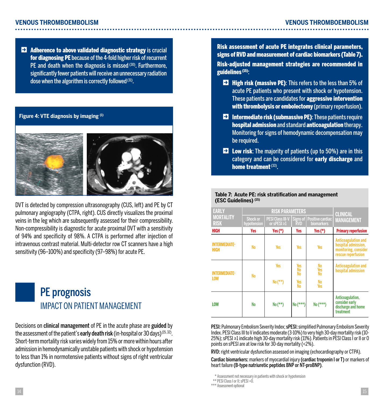$\blacktriangleright$  Adherence to above validated diagnostic strategy is crucial for diagnosing PE because of the 4-fold higher risk of recurrent PE and death when the diagnosis is missed (30). Furthermore, significantly fewer patients will receive an unnecessary radiation dose when the algorithm is correctly followed (31).

### **Figure 4: VTE diagnosis by imaging (1)**



DVT is detected by compression ultrasonography (CUS, left) and PE by CT pulmonary angiography (CTPA, right). CUS directly visualizes the proximal veins in the leg which are subsequently assessed for their compressibility. Non-compressibility is diagnostic for acute proximal DVT with a sensitivity of 94% and specificity of 98%. A CTPA is performed after injection of intravenous contrast material. Multi-detector row CT scanners have a high sensitivity (96–100%) and specificity (97–98%) for acute PE.



Decisions on clinical management of PE in the acute phase are guided by the assessment of the patient's **early death risk** (in-hospital or 30 days)  $(15, 32)$ . Short-term mortality risk varies widely from 15% or more within hours after admission in hemodynamically unstable patients with shock or hypotension to less than 1% in normotensive patients without signs of right ventricular dysfunction (RVD).

Risk assessment of acute PE integrates clinical parameters, signs of RVD and measurement of cardiac biomarkers (Table 7).

Risk-adjusted management strategies are recommended in guidelines (15):

- $\blacktriangleright$  High risk (massive PE): This refers to the less than 5% of acute PE patients who present with shock or hypotension. These patients are candidates for aggressive intervention with thrombolysis or embolectomy (primary reperfusion).
- $\blacktriangleright$  Intermediate risk (submassive PE): These patients require hospital admission and standard anticoagulation therapy. Monitoring for signs of hemodynamic decompensation may be required.
- $\blacktriangleright$  Low risk: The majority of patients (up to 50%) are in this category and can be considered for early discharge and home treatment<sup>(33)</sup>

#### **Table 7: Acute PE: risk stratification and management (ESC Guidelines) (15)**

| <b>EARLY</b>                        | <b>RISK PARAMETERS</b>  |                                                  |                        | <b>CLINICAL</b>                       |                                                                                          |
|-------------------------------------|-------------------------|--------------------------------------------------|------------------------|---------------------------------------|------------------------------------------------------------------------------------------|
| <b>MORTALITY</b><br><b>RISK</b>     | Shock or<br>hypotension | PESI Class III-V   Signs of<br>or sPESI $\geq 1$ | <b>RVD</b>             | Positive cardiac<br><b>biomarkers</b> | <b>MANAGEMENT</b>                                                                        |
| HIGH                                | Yes                     | Yes $(*)$                                        | Yes                    | Yes $(*)$                             | <b>Primary reperfusion</b>                                                               |
| <b>INTERMEDIATE-</b><br><b>HIGH</b> | No                      | <b>Yes</b>                                       | <b>Yes</b>             | <b>Yes</b>                            | Anticoagulation and<br>hospital admission.<br>monitoring, consider<br>rescue reperfusion |
| <b>INTERMEDIATE-</b>                | <b>No</b>               | <b>Yes</b>                                       | Yes<br><b>No</b><br>No | No<br><b>Yes</b><br><b>No</b>         | Anticoagulation and<br>hospital admission                                                |
| <b>LOW</b>                          |                         | $No$ (**)                                        | Yes<br>No              | No<br><b>Yes</b>                      |                                                                                          |
| LOW                                 | No                      | $No$ (**)                                        | $No$ (***)             | $No$ (***)                            | Anticoagulation,<br>consider early<br>discharge and home<br>treatment                    |

PESI: Pulmonary Embolism Severity Index; sPESI: simplified Pulmonary Embolism Severity Index. PESI Class III to V indicates moderate (3-10%) to very high 30-day mortality risk (10- 25%); sPESI ≥1 indicate high 30-day mortality risk (11%). Patients in PESI Class I or II or 0 points on sPESI are at low risk for 30-day mortality (<2%).

RVD: right ventricular dysfunction assessed on imaging (echocardiography or CTPA).

Cardiac biomarkers: markers of myocardial injury (cardiac troponin I or T) or markers of heart failure (B-type natriuretic peptides BNP or NT-proBNP).

\*\*\* Assessment optional

<sup>\*\*\*</sup> Assessment not necessary in patients with shock or hypotension

<sup>\*\*\*</sup> PESI Class I or II; sPESI =0.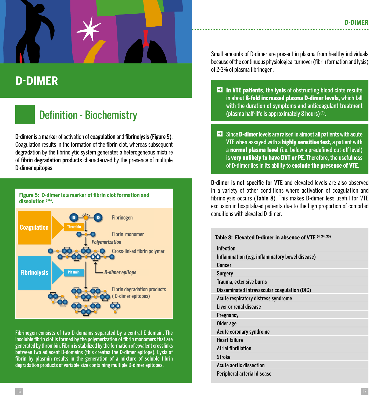

## **D-DIMER**

## Definition - Biochemistry

D-dimer is a marker of activation of coagulation and fibrinolysis (Figure 5). Coagulation results in the formation of the fibrin clot, whereas subsequent degradation by the fibrinolytic system generates a heterogeneous mixture of fibrin degradation products characterized by the presence of multiple D-dimer epitopes.



Fibrinogen consists of two D-domains separated by a central E domain. The insoluble fibrin clot is formed by the polymerization of fibrin monomers that are generated by thrombin. Fibrin is stabilized by the formation of covalent crosslinks between two adjacent D-domains (this creates the D-dimer epitope). Lysis of fibrin by plasmin results in the generation of a mixture of soluble fibrin degradation products of variable size containing multiple D-dimer epitopes.

Small amounts of D-dimer are present in plasma from healthy individuals because of the continuous physiological turnover (fibrin formation and lysis) of 2-3% of plasma fibrinogen.

- $\blacksquare$  In VTE patients, the lysis of obstructing blood clots results in about 8-fold increased plasma D-dimer levels, which fall with the duration of symptoms and anticoagulant treatment (plasma half-life is approximately 8 hours) (4).
- $\blacktriangleright$  Since **D-dimer** levels are raised in almost all patients with acute VTE when assayed with a **highly sensitive test**, a patient with a normal plasma level (i.e. below a predefined cut-off level) is very unlikely to have DVT or PE. Therefore, the usefulness of D-dimer lies in its ability to exclude the presence of VTE.

D-dimer is not specific for VTE and elevated levels are also observed in a variety of other conditions where activation of coagulation and fibrinolysis occurs (Table 8). This makes D-dimer less useful for VTE exclusion in hospitalized patients due to the high proportion of comorbid conditions with elevated D-dimer.

| Table 8: Elevated D-dimer in absence of VTE (4, 34, 35) |
|---------------------------------------------------------|
| Infection                                               |
| Inflammation (e.g. inflammatory bowel disease)          |
| Cancer                                                  |
| Surgery                                                 |
| Trauma, extensive burns                                 |
| Disseminated intravascular coagulation (DIC)            |
| Acute respiratory distress syndrome                     |
| Liver or renal disease                                  |
| Pregnancy                                               |
| Older age                                               |
| Acute coronary syndrome                                 |
| <b>Heart failure</b>                                    |
| <b>Atrial fibrillation</b>                              |
| <b>Stroke</b>                                           |
| Acute aortic dissection                                 |
| Peripheral arterial disease                             |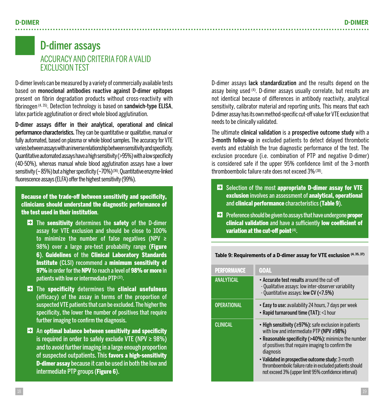### D-dimer assays ACCURACY AND CRITERIA FOR A VALID EXCLUSION TEST

D-dimer levels can be measured by a variety of commercially available tests based on monoclonal antibodies reactive against D-dimer epitopes present on fibrin degradation products without cross-reactivity with fibrinogen (4, 35). Detection technology is based on sandwich-type ELISA, latex particle agglutination or direct whole blood agglutination.

D-dimer assays differ in their analytical, operational and clinical performance characteristics. They can be quantitative or qualitative, manual or fully automated, based on plasma or whole blood samples. The accuracy for VTE varies between assays with an inverse relationship between sensitivity and specificity. Quantitative automated assays have a high sensitivity (>95%) with a low specificity (40-50%), whereas manual whole blood agglutination assays have a lower sensitivity ( $\sim$  85%) but a higher specificity ( $\sim$ 70%) (36). Quantitative enzyme-linked fluorescence assays (ELFA) offer the highest sensitivity (99%).

Because of the trade-off between sensitivity and specificity, clinicians should understand the diagnostic performance of the test used in their institution.

- $\blacktriangleright$  The sensitivity determines the safety of the D-dimer assay for VTE exclusion and should be close to 100% to minimize the number of false negatives (NPV ≥ 98%) over a large pre-test probability range (Figure 6). Guidelines of the Clinical Laboratory Standards Institute (CLSI) recommend a minimum sensitivity of 97% in order for the NPV to reach a level of 98% or more in patients with low or intermediate PTP (37).
- $\blacktriangleright$  The specificity determines the clinical usefulness (efficacy) of the assay in terms of the proportion of suspected VTE patients that can be excluded. The higher the specificity, the lower the number of positives that require further imaging to confirm the diagnosis.
- $\blacktriangleright$  An optimal balance between sensitivity and specificity is required in order to safely exclude VTE (NPV  $\geq$  98%) and to avoid further imaging in a large enough proportion of suspected outpatients. This favors a high-sensitivity D-dimer assay because it can be used in both the low and intermediate PTP groups (Figure 6).

D-dimer assays lack standardization and the results depend on the assay being used (4). D-dimer assays usually correlate, but results are not identical because of differences in antibody reactivity, analytical sensitivity, calibrator material and reporting units. This means that each D-dimer assay has its own method-specific cut-off value for VTE exclusion that needs to be clinically validated.

The ultimate clinical validation is a prospective outcome study with a 3-month follow-up in excluded patients to detect delayed thrombotic events and establish the true diagnostic performance of the test. The exclusion procedure (i.e. combination of PTP and negative D-dimer) is considered safe if the upper 95% confidence limit of the 3-month thromboembolic failure rate does not exceed 3% (38).

- $\blacktriangleright$  Selection of the most appropriate D-dimer assay for VTE exclusion involves an assessment of analytical, operational and clinical performance characteristics (Table 9).
- $\blacktriangleright$  Preference should be given to assays that have undergone proper clinical validation and have a sufficiently low coefficient of variation at the cut-off point (4).

**Table 9: Requirements of a D-dimer assay for VTE exclusion (4, 35, 37)**

| <b>PERFORMANCE</b> | <b>GOAL</b>                                                                                                                                                                                                                                                                                                                                                                                                    |
|--------------------|----------------------------------------------------------------------------------------------------------------------------------------------------------------------------------------------------------------------------------------------------------------------------------------------------------------------------------------------------------------------------------------------------------------|
| <b>ANALYTICAL</b>  | • Accurate test results around the cut-off<br>- Qualitative assays: low inter-observer variability<br>- Quantitative assays: low CV (<7.5%)                                                                                                                                                                                                                                                                    |
| <b>OPERATIONAL</b> | • Easy to use: availability 24 hours, 7 days per week<br>• Rapid turnaround time (TAT): <1 hour                                                                                                                                                                                                                                                                                                                |
| <b>CLINICAL</b>    | • High sensitivity ( $\geq$ 97%): safe exclusion in patients<br>with low and intermediate PTP (NPV $\geq$ 98%)<br>• Reasonable specificity (>40%): minimize the number<br>of positives that require imaging to confirm the<br>diagnosis<br>• Validated in prospective outcome study: 3-month<br>thromboembolic failure rate in excluded patients should<br>not exceed 3% (upper limit 95% confidence interval) |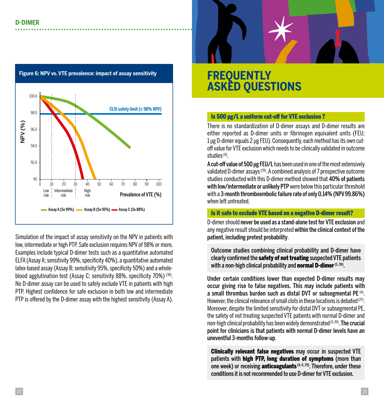

**Figure 6: NPV vs. VTE prevalence: impact of assay sensitivity**

Simulation of the impact of assay sensitivity on the NPV in patients with low, intermediate or high PTP. Safe exclusion requires NPV of 98% or more. Examples include typical D-dimer tests such as a quantitative automated ELFA (Assay A; sensitivity 99%, specificity 40%), a quantitative automated latex-based assay (Assay B; sensitivity 95%, specificity 50%) and a wholeblood agglutination test (Assay C; sensitivity 88%, specificity 70%) (36). No D-dimer assay can be used to safely exclude VTE in patients with high PTP. Highest confidence for safe exclusion in both low and intermediate PTP is offered by the D-dimer assay with the highest sensitivity (Assay A).

### **FREQUENTLY ASKED QUESTIONS**

### Is 500 µg/L a uniform cut-off for VTE exclusion ?

There is no standardization of D-dimer assays and D-dimer results are either reported as D-dimer units or fibrinogen equivalent units (FEU; 1 μg D-dimer equals 2 μg FEU). Consequently, each method has its own cutoff value for VTE exclusion which needs to be clinically validated in outcome studies (4).

A cut-off value of 500 μg FEU/L has been used in one of the most extensively validated D-dimer assays (39). A combined analysis of 7 prospective outcome studies conducted with this D-dimer method showed that 40% of patients with low/intermediate or unlikely PTP were below this particular threshold with a 3-month thromboembolic failure rate of only 0.14% (NPV 99.86%) when left untreated.

### Is it safe to exclude VTE based on a negative D-dimer result?

D-dimer should never be used as a stand-alone test for VTE exclusion and any negative result should be interpreted within the clinical context of the patient, including pretest probability.

Outcome studies combining clinical probability and D-dimer have clearly confirmed the safety of not treating suspected VTE patients with a non-high clinical probability and **normal D-dimer** (5, 39).

Under certain conditions lower than expected D-dimer results may occur giving rise to false negatives. This may include patients with a small thrombus burden such as distal DVT or subsegmental PE (4). However, the clinical relevance of small clots in these locations is debated  $(27)$ . Moreover, despite the limited sensitivity for distal DVT or subsegmental PE, the safety of not treating suspected VTE patients with normal D-dimer and non-high clinical probability has been widely demonstrated  $(5,39)$ . The crucial point for clinicians is that patients with normal D-dimer levels have an uneventful 3-months follow-up.

Clinically relevant false negatives may occur in suspected VTE patients with high PTP, long duration of symptoms (more than one week) or receiving **anticoagulants** (4, 6, 29). Therefore, under these conditions it is not recommended to use D-dimer for VTE exclusion.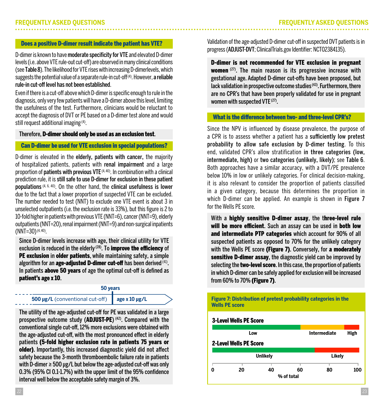#### Does a positive D-dimer result indicate the patient has VTE?

D-dimer is known to have moderate specificity for VTE and elevated D-dimer levels (i.e. above VTE rule-out cut-off) are observed in many clinical conditions (see Table 8). The likelihood for VTE rises with increasing D-dimerlevels, which suggests the potential value of a separate rule-in cut-off $\frac{d}{dx}$ . However, a reliable rule-in cut-off level has not been established.

Even if there is a cut-off above which D-dimer is specific enough to rule in the diagnosis, only very few patients will have a D-dimer above this level, limiting the usefulness of the test. Furthermore, clinicians would be reluctant to accept the diagnosis of DVT or PE based on a D-dimer test alone and would still request additional imaging (4).

### Therefore, D-dimer should only be used as an exclusion test.

#### Can D-dimer be used for VTE exclusion in special populations?

D-dimer is elevated in the elderly, patients with cancer, the majority of hospitalized patients, patients with renal impairment and a large proportion of patients with previous VTE (4, 40). In combination with a clinical prediction rule, it is still safe to use D-dimer for exclusion in these patient populations (4, 6, 40). On the other hand, the clinical usefulness is lower due to the fact that a lower proportion of suspected VTE can be excluded. The number needed to test (NNT) to exclude one VTE event is about 3 in unselected outpatients (i.e. the exclusion rate is 33%), but this figure is 2 to 10-fold higher in patients with previous VTE (NNT=6), cancer (NNT=9), elderly outpatients (NNT=20), renal impairment (NNT=9) and non-surgical inpatients  $(NNT=30)$  (4,40).

Since D-dimer levels increase with age, their clinical utility for VTE exclusion is reduced in the elderly  $(28)$ . To improve the efficiency of PE exclusion in older patients, while maintaining safety, a simple algorithm for an **age-adjusted D-dimer cut-off** has been derived  $(41)$ . In patients **above 50 years** of age the optimal cut-off is defined as patient's age x 10.

#### **50 years**

**500 μg/L** (conventional cut-off) **age x 10 μg/L**

The utility of the age-adjusted cut-off for PE was validated in a large prospective outcome study (ADJUST-PE)<sup>(42)</sup>. Compared with the conventional single cut-off, 12% more exclusions were obtained with the age-adjusted cut-off, with the most pronounced effect in elderly patients (5-fold higher exclusion rate in patients 75 years or older). Importantly, this increased diagnostic yield did not affect safety because the 3-month thromboembolic failure rate in patients with D-dimer ≥ 500 μg/L but below the age-adjusted cut-off was only 0.3% (95% CI 0.1-1.7%) with the upper limit of the 95% confidence interval well below the acceptable safety margin of 3%.

Validation of the age-adjusted D-dimer cut-off in suspected DVT patients is in progress (ADJUST-DVT; ClinicalTrials.gov Identifier: NCT02384135).

D-dimer is not recommended for VTE exclusion in pregnant women (27). The main reason is its progressive increase with gestational age. Adapted D-dimer cut-offs have been proposed, but lack validation in prospective outcome studies<sup>(43)</sup>. Furthermore, there are no CPR's that have been properly validated for use in pregnant women with suspected VTE<sup>(27)</sup>.

### What is the difference between two- and three-level CPR's?

Since the NPV is influenced by disease prevalence, the purpose of a CPR is to assess whether a patient has a sufficiently low pretest probability to allow safe exclusion by D-dimer testing. To this end, validated CPR's allow stratification in three categories (low, intermediate, high) or two categories (unlikely, likely); see Table 6. Both approaches have a similar accuracy, with a DVT/PE prevalence below 10% in low or unlikely categories. For clinical decision-making, it is also relevant to consider the proportion of patients classified in a given category, because this determines the proportion in which D-dimer can be applied. An example is shown in Figure 7 for the Wells PE score.

With a highly sensitive D-dimer assay, the three-level rule will be more efficient. Such an assay can be used in both low and intermediate PTP categories which account for 90% of all suspected patients as opposed to 70% for the unlikely category with the Wells PE score (Figure 7). Conversely, for a moderately sensitive D-dimer assay, the diagnostic yield can be improved by selecting the **two-level score**. In this case, the proportion of patients in which D-dimer can be safely applied for exclusion will be increased from 60% to 70% (Figure 7).

**Figure 7: Distribution of pretest probability categories in the Wells PE score**

#### 3-Level Wells PE Score

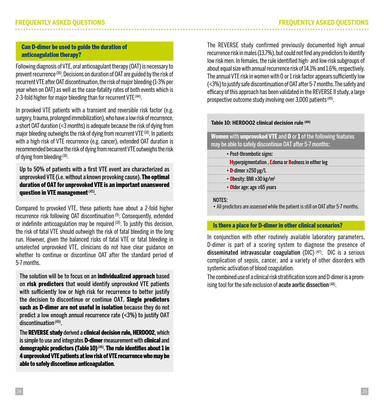### Can D-dimer be used to guide the duration of anticoagulation therapy?

Following diagnosis of VTE, oral anticoagulant therapy (OAT) is necessary to prevent recurrence (18). Decisions on duration of OAT are guided by the risk of recurrent VTE after OAT discontinuation, the risk of major bleeding (1-3% per year when on OAT) as well as the case-fatality rates of both events which is 2-3-fold higher for major bleeding than for recurrent VTE (44).

In provoked VTE patients with a transient and reversible risk factor (e.g. surgery, trauma, prolonged immobilization), who have a low risk of recurrence, a short OAT duration (<3 months) is adequate because the risk of dying from major bleeding outweighs the risk of dying from recurrent VTE<sup>(18)</sup>. In patients with a high risk of VTE recurrence (e.g. cancer), extended OAT duration is recommended because the risk of dying from recurrent VTE outweighs the risk of dving from bleeding <sup>(18)</sup>.

Up to 50% of patients with a first VTE event are characterized as unprovoked VTE (i.e. without a known provoking cause). The optimal duration of OAT for unprovoked VTE is an important unanswered question in VTE management  $(45)$ .

Compared to provoked VTE, these patients have about a 2-fold higher recurrence risk following OAT discontinuation (9). Consequently, extended or indefinite anticoagulation may be required  $(18)$ . To justify this decision, the risk of fatal VTE should outweigh the risk of fatal bleeding in the long run. However, given the balanced risks of fatal VTE or fatal bleeding in unselected unprovoked VTE, clinicians do not have clear guidance on whether to continue or discontinue OAT after the standard period of 5-7 months.

The solution will be to focus on an individualized approach based on risk predictors that would identify unprovoked VTE patients with sufficiently low or high risk for recurrence to better justify the decision to discontinue or continue OAT. Single predictors such as D-dimer are not useful in isolation because they do not predict a low enough annual recurrence rate (<3%) to justify OAT discontinuation (45).

The REVERSE study derived a clinical decision rule, HERDOO2, which is simple to use and integrates **D-dimer** measurement with **clinical** and demographic predictors (Table 10) (46). The rule identifies about 1 in 4 unprovoked VTE patients at low risk of VTE recurrence who may be able to safely discontinue anticoagulation.

The REVERSE study confirmed previously documented high annual recurrence risk in males (13.7%), but could not find any predictors to identify low risk men. In females, the rule identified high- and low-risk subgroups of about equal size with annual recurrence risk of 14.1% and 1.6%, respectively. The annual VTE risk in women with 0 or 1 risk factor appears sufficiently low (<3%) to justify safe discontinuation of OAT after 5-7 months. The safety and efficacy of this approach has been validated in the REVERSE II study, a large prospective outcome study involving over 3,000 patients (49).

### **Table 10: HERDOO2 clinical decision rule (49)**

Women with unprovoked VTE and 0 or 1 of the following features may be able to safely discontinue OAT after 5-7 months:

| • Post-thrombotic signs:                                 |
|----------------------------------------------------------|
| <b>Hyperpigmentation, Edema or Redness in either leg</b> |
| $\cdot$ <b>D</b> dimer $\geq$ 250 µg/L                   |
| $\cdot$ Obesity: BMI $\geq$ 30 kg/m <sup>2</sup>         |
| • Older age: age ≥65 years                               |
|                                                          |

### NOTES:

• All predictors are assessed while the patient is still on OAT after 5-7 months.

### Is there a place for D-dimer in other clinical scenarios?

In conjunction with other routinely available laboratory parameters, D-dimer is part of a scoring system to diagnose the presence of disseminated intravascular coagulation (DIC)  $(47)$ . DIC is a serious complication of sepsis, cancer, and a variety of other disorders with systemic activation of blood coagulation.

The combined use of a clinical risk stratification score and D-dimer is a promising tool for the safe exclusion of acute aortic dissection (48).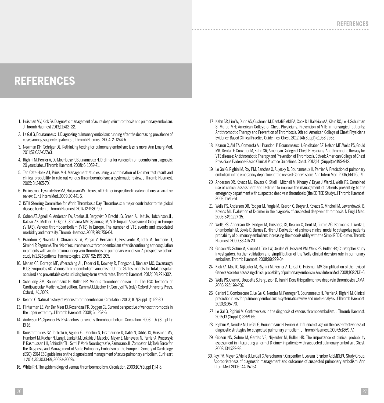### **REFERENCES**

- 1. Huisman MV, Klok FA. Diagnostic management of acute deep vein thrombosis and pulmonary embolism. J Thromb Haemost 2013;11:412–22.
- 2. Le Gal G, Bounameaux H. Diagnosing pulmonary embolism: running after the decreasing prevalence of cases among suspected patients. J Thromb Haemost. 2004; 2: 1244-6.
- 3. Newman DH, Schriger DL. Rethinking testing for pulmonary embolism: less is more. Ann Emerg Med. 2011;57:622-627.e3.
- 4. Righini M, Perrier A, De Moerloose P, Bounameaux H. D-dimer for venous thromboembolism diagnosis: 20 years later. J Thromb Haemost. 2008; 6: 1059-71.
- 5. Ten Cate-Hoek AJ, Prins MH. Management studies using a combination of D-dimer test result and clinical probability to rule out venous thromboembolism: a systematic review. J Thromb Haemost. 2005; 3: 2465-70.
- 6. Bruinstroop E, van de Ree MA, Huisman MV. The use of D-dimer in specific clinical conditions: a narrative review. Eur J Intern Med. 2009;20:441-6.
- 7. ISTH Steering Committee for World Thrombosis Day. Thrombosis: a major contributor to the global disease burden. J Thromb Haemost. 2014;12:1580-90.
- 8. Cohen AT, Agnelli G, Anderson FA, Arcelus JI, Bergqvist D, Brecht JG, Greer IA, Heit JA, Hutchinson JL, Kakkar AK, Mottier D, Oger E, Samama MM, Spannagl M; VTE Impact Assessment Group in Europe (VITAE). Venous thromboembolism (VTE) in Europe. The number of VTE events and associated morbidity and mortality. Thromb Haemost. 2007; 98: 756-64.
- 9. Prandoni P, Noventa F, Ghirarduzzi A, Pengo V, Bernardi E, Pesavento R, Iotti M, Tormene D, Simioni P, Pagnan A. The risk of recurrent venous thromboembolism after discontinuing anticoagulation in patients with acute proximal deep vein thrombosis or pulmonary embolism. A prospective cohort study in 1,626 patients. Haematologica. 2007; 92: 199-205.
- 10. Mahan CE, Borrego ME, Woersching AL, Federici R, Downey R, Tiongson J, Bieniarz MC, Cavanaugh BJ, Spyropoulos AC. Venous thromboembolism: annualised United States models for total, hospitalacquired and preventable costs utilising long-term attack rates. Thromb Haemost. 2012;108:291-302.
- 11. Schellong SM, Bounameaux H, Büller HR. Venous thromboembolism. In: The ESC Textbook of Cardiovascular Medicine, 2nd edition. Camm AJ, Lüscher TF, Serruys PW (eds), Oxford University Press, Oxford, UK, 2009.
- 12. Kearon C. Natural history of venous thromboembolism. Circulation. 2003; 107(Suppl. 1): I22-30.
- 13. Flinterman LE, Van Der Meer FJ, Rosendaal FR, Doggen CJ. Current perspective of venous thrombosis in the upper extremity. J Thromb Haemost. 2008; 6: 1262-6.
- 14. Anderson FA, Spencer FA. Risk factors for venous thromboembolism. Circulation. 2003; 107 (Suppl.1): I9-16.
- 15. Konstantinides SV, Torbicki A, Agnelli G, Danchin N, Fitzmaurice D, Galiè N, Gibbs JS, Huisman MV, Humbert M, Kucher N, Lang I, Lankeit M, Lekakis J, Maack C, Mayer E, Meneveau N, Perrier A, Pruszczyk P, Rasmussen LH, Schindler TH, Svitil P, Vonk Noordegraaf A, Zamorano JL, Zompatori M; Task Force for the Diagnosis and Management of Acute Pulmonary Embolism of the European Society of Cardiology (ESC). 2014 ESC guidelines on the diagnosis and management of acute pulmonary embolism. Eur Heart J. 2014;35:3033-69, 3069a-3069k.
- 16. White RH. The epidemiology of venous thromboembolism. Circulation. 2003;107(Suppl 1):I4-8.

17. Kahn SR, Lim W, Dunn AS, Cushman M, Dentali F, Akl EA, Cook DJ, Balekian AA, Klein RC, Le H, Schulman S, Murad MH; American College of Chest Physicians. Prevention of VTE in nonsurgical patients: Antithrombotic Therapy and Prevention of Thrombosis, 9th ed: American College of Chest Physicians Evidence-Based Clinical Practice Guidelines. Chest. 2012;141(Suppl):e195S-226S.

. . . . . . . . . . . . . .

- 18. Kearon C, Akl EA, Comerota AJ, Prandoni P, Bounameaux H, Goldhaber SZ, Nelson ME, Wells PS, Gould MK, Dentali F, Crowther M, Kahn SR; American College of Chest Physicians. Antithrombotic therapy for VTE disease: Antithrombotic Therapy and Prevention of Thrombosis, 9th ed: American College of Chest Physicians Evidence-Based Clinical Practice Guidelines. Chest. 2012;141(Suppl):e419S-94S.
- 19. Le Gal G, Righini M, Roy PM, Sanchez O, Aujesky D, Bounameaux H, Perrier A. Prediction of pulmonary embolism in the emergency department: the revised Geneva score. Ann Intern Med. 2006;144:165-71.
- 20. Anderson DR, Kovacs MJ, Kovacs G, Stiell I, Mitchell M, Khoury V, Dryer J, Ward J, Wells PS. Combined use of clinical assessment and D-dimer to improve the management of patients presenting to the emergency department with suspected deep vein thrombosis (the EDITED Study). J Thromb Haemost. 2003;1:645-51.
- 21. Wells PS, Anderson DR, Rodger M, Forgie M, Kearon C, Dreyer J, Kovacs G, Mitchell M, Lewandowski B, Kovacs MJ. Evaluation of D-dimer in the diagnosis of suspected deep-vein thrombosis. N Engl J Med. 2003;349:1227-35.
- 22. Wells PS, Anderson DR, Rodger M, Ginsberg JS, Kearon C, Gent M, Turpie AG, Bormanis J, Weitz J, Chamberlain M, Bowie D, Barnes D, Hirsh J. Derivation of a simple clinical model to categorize patients probability of pulmonary embolism: increasing the models utility with the SimpliRED D-dimer. Thromb Haemost. 2000;83:416-20.
- 23. Gibson NS, Sohne M, Kruip MJ, Tick LW, Gerdes VE, Bossuyt PM, Wells PS, Buller HR; Christopher study investigators. Further validation and simplification of the Wells clinical decision rule in pulmonary embolism. Thromb Haemost. 2008;99:229-34.
- 24. Klok FA, Mos IC, Nijkeuter M, Righini M, Perrier A, Le Gal G, Huisman MV. Simplification of the revised Geneva score for assessing clinical probability of pulmonary embolism. Arch Intern Med. 2008;168:2131-6.
- 25. Wells PS, Owen C, Doucette S, Fergusson D, Tran H. Does this patient have deep vein thrombosis? JAMA. 2006;295:199-207.
- 26. Ceriani E, Combescure C, Le Gal G, Nendaz M, Perneger T, Bounameaux H, Perrier A, Righini M. Clinical prediction rules for pulmonary embolism: a systematic review and meta-analysis. J Thromb Haemost. 2010;8:957-70.
- 27. Le Gal G, Righini M. Controversies in the diagnosis of venous thromboembolism. J Thromb Haemost. 2015;13 (Suppl.1):S259-65.
- 28. Righini M, Nendaz M, Le Gal G, Bounameaux H, Perrier A. Influence of age on the cost-effectiveness of diagnostic strategies for suspected pulmonary embolism. J Thromb Haemost. 2007;5:1869-77.
- 29. Gibson NS, Sohne M, Gerdes VE, Nijkeuter M, Buller HR. The importance of clinical probability assessment in interpreting a normal D-dimer in patients with suspected pulmonary embolism. Chest. 2008;134:789-93.
- 30. Roy PM, Meyer G, Vielle B, Le Gall C, Verschuren F, Carpentier F, Leveau P, Furber A; EMDEPU Study Group. Appropriateness of diagnostic management and outcomes of suspected pulmonary embolism. Ann Intern Med. 2006;144:157-64.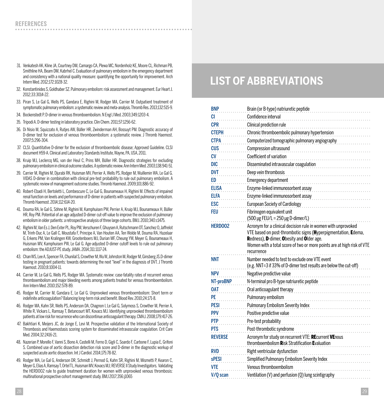- 31. Venkatesh AK, Kline JA, Courtney DM, Camargo CA, Plewa MC, Nordenholz KE, Moore CL, Richman PB, Smithline HA, Beam DM, Kabrhel C. Evaluation of pulmonary embolism in the emergency department and consistency with a national quality measure: quantifying the opportunity for improvement. Arch Intern Med. 2012;172:1028-32.
- 32. Konstantinides S, Goldhaber SZ. Pulmonary embolism: risk assessment and management. Eur Heart J. 2012;33:3014-22.
- 33. Piran S, Le Gal G, Wells PS, Gandara E, Righini M, Rodger MA, Carrier M. Outpatient treatment of symptomatic pulmonary embolism: a systematic review and meta-analysis. Thromb Res. 2013;132:515-9.
- 34. Bockenstedt P. D-dimer in venous thromboembolism. N Engl J Med. 2003;349:1203-4.
- 35. Tripodi A. D-dimer testing in laboratory practice. Clin Chem. 2011;57:1256-62.
- 36. Di Nisio M, Squizzato A, Rutjes AW, Büller HR, Zwinderman AH, Bossuyt PM. Diagnostic accuracy of D-dimer test for exclusion of venous thromboembolism: a systematic review. J Thromb Haemost. 2007;5:296-304.
- 37. CLSI. Quantitative D-dimer for the exclusion of thromboembolic disease; Approved Guideline. CLSI document H59-A. Clinical and Laboratory Standards Institute, Wayne, PA, USA, 2011.
- 38. Kruip MJ, Leclercq MG, van der Heul C, Prins MH, Büller HR. Diagnostic strategies for excluding pulmonary embolism in clinical outcome studies. A systematic review. Ann Intern Med. 2003;138:941-51.
- 39. Carrier M, Righini M, Djurabi RK, Huisman MV, Perrier A, Wells PS, Rodger M, Wuillemin WA, Le Gal G. VIDAS D-dimer in combination with clinical pre-test probability to rule out pulmonary embolism. A systematic review of management outcome studies. Thromb Haemost. 2009;101:886-92.
- 40. Robert-Ebadi H, Bertoletti L, Combescure C, Le Gal G, Bounameaux H, Righini M. Effects of impaired renal function on levels and performance of D-dimer in patients with suspected pulmonary embolism. Thromb Haemost. 2014;112:614-20.
- 41. Douma RA, le Gal G, Söhne M, Righini M, Kamphuisen PW, Perrier A, Kruip MJ, Bounameaux H, Büller HR, Roy PM. Potential of an age adjusted D-dimer cut-off value to improve the exclusion of pulmonary embolism in older patients: a retrospective analysis of three large cohorts. BMJ. 2010;340:c1475.
- 42. Righini M, Van Es J, Den Exter PL, Roy PM, Verschuren F, Ghuysen A, Rutschmann OT, Sanchez O, Jaffrelot M, Trinh-Duc A, Le Gall C, Moustafa F, Principe A, Van Houten AA, Ten Wolde M, Douma RA, Hazelaar G, Erkens PM, Van Kralingen KW, Grootenboers MJ, Durian MF, Cheung YW, Meyer G, Bounameaux H, Huisman MV, Kamphuisen PW, Le Gal G. Age-adjusted D-dimer cutoff levels to rule out pulmonary embolism: the ADJUST-PE study. JAMA. 2014;311:1117-24.
- 43. Chan WS, Lee A, Spencer FA, Chunilal S, Crowther M, Wu W, Johnston M, Rodger M, Ginsberg JS.D-dimer testing in pregnant patients: towards determining the next "level" in the diagnosis of DVT. J Thromb Haemost. 2010;8:1004-11.
- 44. Carrier M, Le Gal G, Wells PS, Rodger MA. Systematic review: case-fatality rates of recurrent venous thromboembolism and major bleeding events among patients treated for venous thromboembolism. Ann Intern Med. 2010;152:578-89.
- 45. Rodger M, Carrier M, Gandara E, Le Gal G. Unprovoked venous thromboembolism: Short term or indefinite anticoagulation? Balancing long-term risk and benefit. Blood Rev. 2010;24:171-8.
- 46. Rodger MA, Kahn SR, Wells PS, Anderson DA, Chagnon I, Le Gal G, Solymoss S, Crowther M, Perrier A, White R, Vickars L, Ramsay T, Betancourt MT, Kovacs MJ. Identifying unprovoked thromboembolism patients at low risk for recurrence who can discontinue anticoagulant therapy. CMAJ. 2008;179:417-26.
- 47. Bakhtiari K, Meijers JC, de Jonge E, Levi M. Prospective validation of the International Society of Thrombosis and Haemostasis scoring system for disseminated intravascular coagulation. Crit Care Med. 2004:32:2416-21.
- 48. Nazerian P, Morello F, Vanni S, Bono A, Castelli M, Forno D, Gigli C, Soardo F, Carbone F, Lupia E, Grifoni S. Combined use of aortic dissection detection risk score and D-dimer in the diagnostic workup of suspected acute aortic dissection. Int J Cardiol. 2014;175:78-82.
- 49. Rodger MA, Le Gal G, Anderson DR, Schmidt J, Pernod G, Kahn SR, Righini M, Mismetti P, Kearon C, Meyer G, Elias A, Ramsay T, Ortel TL, Huisman MV, Kovacs MJ; REVERSE II Study Investigators. Validating the HERDOO2 rule to guide treatment duration for women with unprovoked venous thrombosis: multinational prospective cohort management study. BMJ 2017;356:j1065

### **LIST OF ABBREVIATIONS**

| <b>BNP</b>     | Brain (or B-type) natriuretic peptide                                                                                                                                       |
|----------------|-----------------------------------------------------------------------------------------------------------------------------------------------------------------------------|
| CI             | Confidence interval                                                                                                                                                         |
| <b>CPR</b>     | Clinical prediction rule                                                                                                                                                    |
| <b>CTEPH</b>   | Chronic thromboembolic pulmonary hypertension                                                                                                                               |
| CTPA           | Computerized tomographic pulmonary angiography                                                                                                                              |
| CUS            | Compression ultrasound                                                                                                                                                      |
| CV             | Coefficient of variation                                                                                                                                                    |
| DIC            | Disseminated intravascular coagulation                                                                                                                                      |
| <b>DVT</b>     | Deep vein thrombosis                                                                                                                                                        |
| ED             | <b>Emergency department</b>                                                                                                                                                 |
| <b>ELISA</b>   | Enzyme-linked immunosorbent assay                                                                                                                                           |
| ELFA           | Enzyme-linked immunosorbent assay                                                                                                                                           |
| <b>ESC</b>     | <b>European Society of Cardiology</b>                                                                                                                                       |
| FEU            | Fibrinogen equivalent unit                                                                                                                                                  |
|                | (500 µg FEU/L = 250 µg D-dimer/L)                                                                                                                                           |
| <b>HERDOO2</b> | Acronym for a clinical decision rule in women with unprovoked<br>VTE based on post-thrombotic signs (Hyperpigmentation, Edema,<br>Redness), D-dimer, Obesity and Older age. |
|                |                                                                                                                                                                             |
|                | Women with a total score of two or more points are at high risk of VTE<br>recurrence                                                                                        |
| NNT            | Number needed to test to exclude one VTE event                                                                                                                              |
| NPV            | (e.g. NNT=3 if 33% of D-dimer test results are below the cut-off)<br>Negative predictive value                                                                              |
| NT-proBNP      |                                                                                                                                                                             |
| 0AT            | N-terminal pro B-type natriuretic peptide<br>Oral anticoagulant therapy                                                                                                     |
| PE             | Pulmonary embolism                                                                                                                                                          |
| PESI           | Pulmonary Embolism Severity Index                                                                                                                                           |
| <b>PPV</b>     | Positive predictive value                                                                                                                                                   |
| <b>PTP</b>     | Pre-test probability                                                                                                                                                        |
| <b>PTS</b>     | Post-thrombotic syndrome                                                                                                                                                    |
| <b>RFVFRSF</b> | Acronym for study on recurrent VTE: REcurrent VEnous<br>thromboembolism Risk Stratification Evaluation                                                                      |
| <b>RVD</b>     | Right ventricular dysfunction                                                                                                                                               |
| <b>sPESI</b>   | Simplified Pulmonary Embolism Severity Index                                                                                                                                |
| VTE            | Venous thromboembolism                                                                                                                                                      |
| V/Q scan       | Ventilation (V) and perfusion (Q) lung scintigraphy                                                                                                                         |